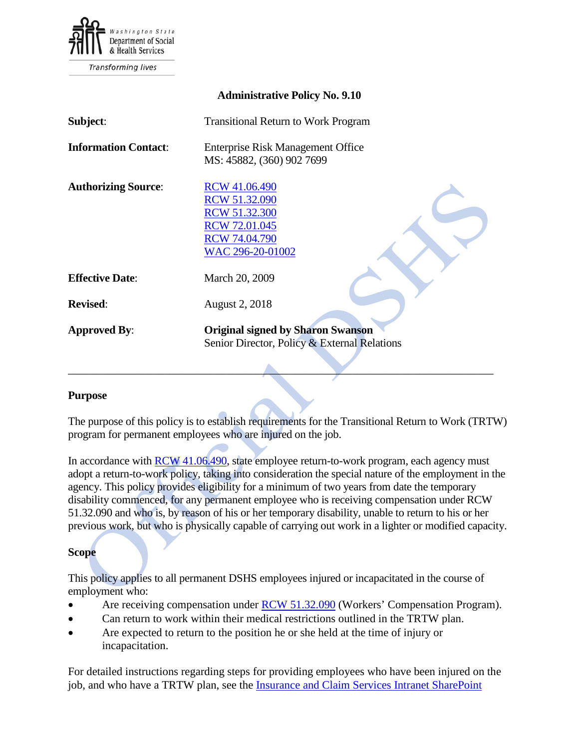

# **Administrative Policy No. 9.10**

| Subject:                    | <b>Transitional Return to Work Program</b>                                                                                        |
|-----------------------------|-----------------------------------------------------------------------------------------------------------------------------------|
| <b>Information Contact:</b> | <b>Enterprise Risk Management Office</b><br>MS: 45882, (360) 902 7699                                                             |
| <b>Authorizing Source:</b>  | <b>RCW</b> 41.06.490<br><b>RCW 51.32.090</b><br>RCW 51.32.300<br><b>RCW 72.01.045</b><br><b>RCW 74.04.790</b><br>WAC 296-20-01002 |
| <b>Effective Date:</b>      | March 20, 2009                                                                                                                    |
| <b>Revised:</b>             | <b>August 2, 2018</b>                                                                                                             |
| <b>Approved By:</b>         | <b>Original signed by Sharon Swanson</b><br>Senior Director, Policy & External Relations                                          |

### **Purpose**

The purpose of this policy is to establish requirements for the Transitional Return to Work (TRTW) program for permanent employees who are injured on the job.

\_\_\_\_\_\_\_\_\_\_\_\_\_\_\_\_\_\_\_\_\_\_\_\_\_\_\_\_\_\_\_\_\_\_\_\_\_\_\_\_\_\_\_\_\_\_\_\_\_\_\_\_\_\_\_\_\_\_\_\_\_\_\_\_\_\_\_\_\_\_\_\_\_\_\_

In accordance with [RCW 41.06.490,](http://app.leg.wa.gov/rcw/default.aspx?cite=41.06.490) state employee return-to-work program, each agency must adopt a return-to-work policy, taking into consideration the special nature of the employment in the agency. This policy provides eligibility for a minimum of two years from date the temporary disability commenced, for any permanent employee who is receiving compensation under RCW 51.32.090 and who is, by reason of his or her temporary disability, unable to return to his or her previous work, but who is physically capable of carrying out work in a lighter or modified capacity.

### **Scope**

This policy applies to all permanent DSHS employees injured or incapacitated in the course of employment who:

- Are receiving compensation under **RCW 51.32.090** (Workers' Compensation Program).
- Can return to work within their medical restrictions outlined in the TRTW plan.
- Are expected to return to the position he or she held at the time of injury or incapacitation.

For detailed instructions regarding steps for providing employees who have been injured on the job, and who have a TRTW plan, see the [Insurance and Claim Services Intranet SharePoint](http://one.dshs.wa.lcl/FS/Loss/WorkersComp/Pages/default.aspx)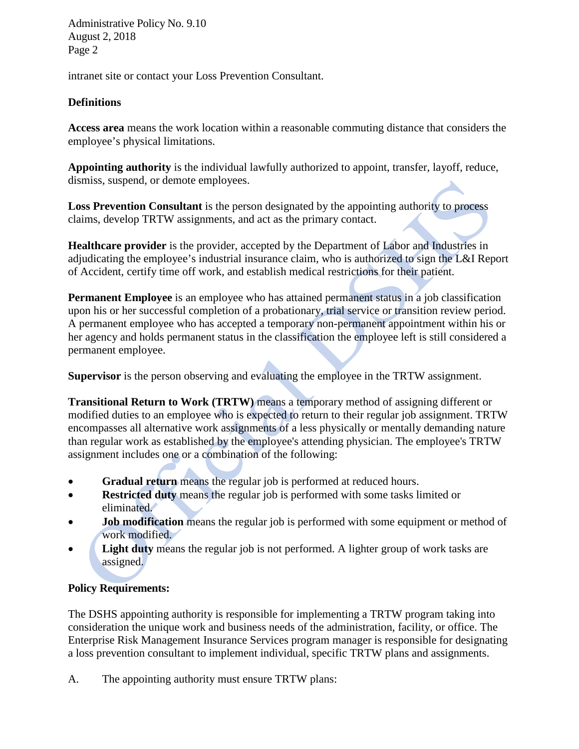Administrative Policy No. 9.10 August 2, 2018 Page 2

intranet site or contact your Loss Prevention Consultant.

# **Definitions**

**Access area** means the work location within a reasonable commuting distance that considers the employee's physical limitations.

**Appointing authority** is the individual lawfully authorized to appoint, transfer, layoff, reduce, dismiss, suspend, or demote employees.

**Loss Prevention Consultant** is the person designated by the appointing authority to process claims, develop TRTW assignments, and act as the primary contact.

**Healthcare provider** is the provider, accepted by the Department of Labor and Industries in adjudicating the employee's industrial insurance claim, who is authorized to sign the L&I Report of Accident, certify time off work, and establish medical restrictions for their patient.

**Permanent Employee** is an employee who has attained permanent status in a job classification upon his or her successful completion of a probationary, trial service or transition review period. A permanent employee who has accepted a temporary non-permanent appointment within his or her agency and holds permanent status in the classification the employee left is still considered a permanent employee.

**Supervisor** is the person observing and evaluating the employee in the TRTW assignment.

**Transitional Return to Work (TRTW)** means a temporary method of assigning different or modified duties to an employee who is expected to return to their regular job assignment. TRTW encompasses all alternative work assignments of a less physically or mentally demanding nature than regular work as established by the employee's attending physician. The employee's TRTW assignment includes one or a combination of the following:

- **Gradual return** means the regular job is performed at reduced hours.
- **Restricted duty** means the regular job is performed with some tasks limited or eliminated.
- **Job modification** means the regular job is performed with some equipment or method of work modified.
- **Light duty** means the regular job is not performed. A lighter group of work tasks are assigned.

# **Policy Requirements:**

The DSHS appointing authority is responsible for implementing a TRTW program taking into consideration the unique work and business needs of the administration, facility, or office. The Enterprise Risk Management Insurance Services program manager is responsible for designating a loss prevention consultant to implement individual, specific TRTW plans and assignments.

A. The appointing authority must ensure TRTW plans: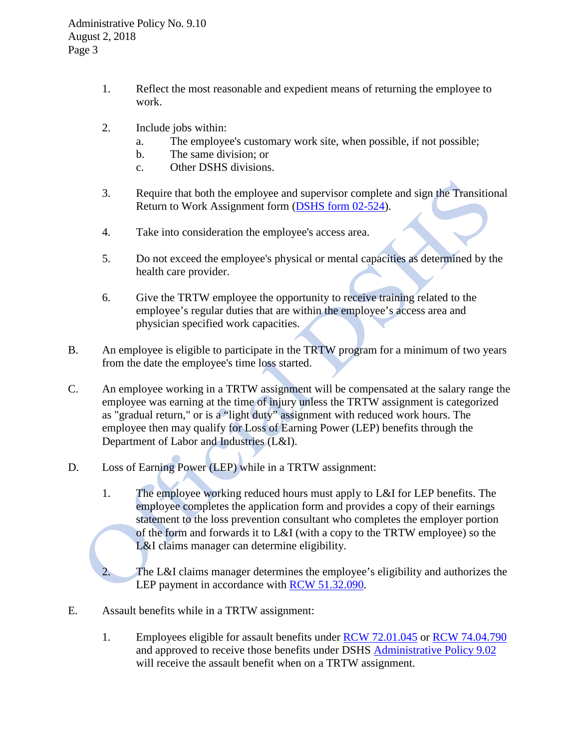Administrative Policy No. 9.10 August 2, 2018 Page 3

- 1. Reflect the most reasonable and expedient means of returning the employee to work.
- 2. Include jobs within:
	- a. The employee's customary work site, when possible, if not possible;
	- b. The same division; or
	- c. Other DSHS divisions.
- 3. Require that both the employee and supervisor complete and sign the Transitional Return to Work Assignment form [\(DSHS form 02-524\)](http://asd.dshs.wa.gov/FormsMan/formDetails.aspx?ID=5015).
- 4. Take into consideration the employee's access area.
- 5. Do not exceed the employee's physical or mental capacities as determined by the health care provider.
- 6. Give the TRTW employee the opportunity to receive training related to the employee's regular duties that are within the employee's access area and physician specified work capacities.
- B. An employee is eligible to participate in the TRTW program for a minimum of two years from the date the employee's time loss started.
- C. An employee working in a TRTW assignment will be compensated at the salary range the employee was earning at the time of injury unless the TRTW assignment is categorized as "gradual return," or is a "light duty" assignment with reduced work hours. The employee then may qualify for Loss of Earning Power (LEP) benefits through the Department of Labor and Industries (L&I).
- D. Loss of Earning Power (LEP) while in a TRTW assignment:
	- 1. The employee working reduced hours must apply to L&I for LEP benefits. The employee completes the application form and provides a copy of their earnings statement to the loss prevention consultant who completes the employer portion of the form and forwards it to L&I (with a copy to the TRTW employee) so the L&I claims manager can determine eligibility.

2. The L&I claims manager determines the employee's eligibility and authorizes the LEP payment in accordance with [RCW 51.32.090.](http://apps.leg.wa.gov/RCW/default.aspx?cite=51.32.090)

- E. Assault benefits while in a TRTW assignment:
	- 1. Employees eligible for assault benefits under [RCW 72.01.045](http://apps.leg.wa.gov/RCW/default.aspx?cite=72.01.045) or [RCW 74.04.790](http://apps.leg.wa.gov/RCW/default.aspx?cite=74.04.790) and approved to receive those benefits under DSHS [Administrative Policy 9.02](http://one.dshs.wa.lcl/Policies/Administrative/DSHS-AP-09-02.pdf) will receive the assault benefit when on a TRTW assignment.